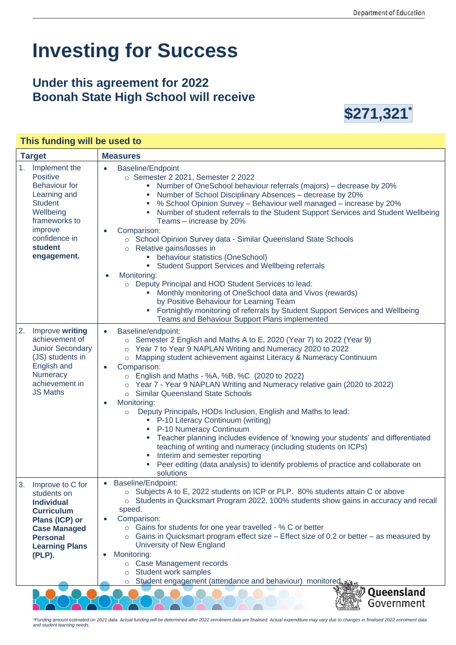## **Investing for Success**

## **Under this agreement for 2022 Boonah State High School will receive**



| This funding will be used to                                                                                                                                                   |                                                                                                                                                                                                                                                                                                                                                                                                                                                                                                                                                                                                                                                                                                                                                                                                                                                                                                                                                 |  |
|--------------------------------------------------------------------------------------------------------------------------------------------------------------------------------|-------------------------------------------------------------------------------------------------------------------------------------------------------------------------------------------------------------------------------------------------------------------------------------------------------------------------------------------------------------------------------------------------------------------------------------------------------------------------------------------------------------------------------------------------------------------------------------------------------------------------------------------------------------------------------------------------------------------------------------------------------------------------------------------------------------------------------------------------------------------------------------------------------------------------------------------------|--|
| <b>Target</b>                                                                                                                                                                  | <b>Measures</b>                                                                                                                                                                                                                                                                                                                                                                                                                                                                                                                                                                                                                                                                                                                                                                                                                                                                                                                                 |  |
| 1.<br>Implement the<br>Positive<br><b>Behaviour for</b><br>Learning and<br><b>Student</b><br>Wellbeing<br>frameworks to<br>improve<br>confidence in<br>student<br>engagement.  | <b>Baseline/Endpoint</b><br>$\bullet$<br>$\circ$ Semester 2 2021, Semester 2 2022<br>• Number of OneSchool behaviour referrals (majors) - decrease by 20%<br>Number of School Disciplinary Absences - decrease by 20%<br>a.<br>% School Opinion Survey - Behaviour well managed - increase by 20%<br>" Number of student referrals to the Student Support Services and Student Wellbeing<br>Teams - increase by 20%<br>Comparison:<br>○ School Opinion Survey data - Similar Queensland State Schools<br>o Relative gains/losses in<br>• behaviour statistics (OneSchool)<br>• Student Support Services and Wellbeing referrals<br>Monitoring:<br>o Deputy Principal and HOD Student Services to lead:<br>Monthly monitoring of OneSchool data and Vivos (rewards)<br>by Positive Behaviour for Learning Team<br>Fortnightly monitoring of referrals by Student Support Services and Wellbeing<br>Teams and Behaviour Support Plans implemented |  |
| 2.<br>Improve writing<br>achievement of<br>Junior Secondary<br>(JS) students in<br>English and<br>Numeracy<br>achievement in<br><b>JS Maths</b>                                | Baseline/endpoint:<br>$\bullet$<br>$\circ$ Semester 2 English and Maths A to E, 2020 (Year 7) to 2022 (Year 9)<br>Year 7 to Year 9 NAPLAN Writing and Numeracy 2020 to 2022<br>$\circ$<br>o Mapping student achievement against Literacy & Numeracy Continuum<br>Comparison:<br>$\bullet$<br>$\circ$ English and Maths - %A, %B, %C (2020 to 2022)<br>o Year 7 - Year 9 NAPLAN Writing and Numeracy relative gain (2020 to 2022)<br>○ Similar Queensland State Schools<br>Monitoring:<br>$\bullet$<br>Deputy Principals, HODs Inclusion, English and Maths to lead:<br>$\circ$<br>• P-10 Literacy Continuum (writing)<br>P-10 Numeracy Continuum<br>Teacher planning includes evidence of 'knowing your students' and differentiated<br>teaching of writing and numeracy (including students on ICPs)<br>Interim and semester reporting<br>Peer editing (data analysis) to identify problems of practice and collaborate on<br>solutions        |  |
| 3.<br>Improve to C for<br>students on<br><b>Individual</b><br><b>Curriculum</b><br>Plans (ICP) or<br><b>Case Managed</b><br><b>Personal</b><br><b>Learning Plans</b><br>(PLP). | <b>Baseline/Endpoint:</b><br>○ Subjects A to E, 2022 students on ICP or PLP. 80% students attain C or above<br>$\circ$ Students in Quicksmart Program 2022. 100% students show gains in accuracy and recall<br>speed.<br>Comparison:<br>$\circ$ Gains for students for one year travelled - % C or better<br>$\circ$ Gains in Quicksmart program effect size – Effect size of 0.2 or better – as measured by<br>University of New England<br>Monitoring:<br>o Case Management records<br>Student work samples<br>$\circ$<br>Student engagement (attendance and behaviour) monitored<br>$\circ$                                                                                                                                                                                                                                                                                                                                                  |  |
|                                                                                                                                                                                | Queensland<br>Government                                                                                                                                                                                                                                                                                                                                                                                                                                                                                                                                                                                                                                                                                                                                                                                                                                                                                                                        |  |

*\*Funding amount estimated on 2021 data. Actual funding will be determined after 2022 enrolment data are finalised. Actual expenditure may vary due to changes in finalised 2022 enrolment data and student learning needs.*

<u>NA AVA AVA AVA AVA A</u>